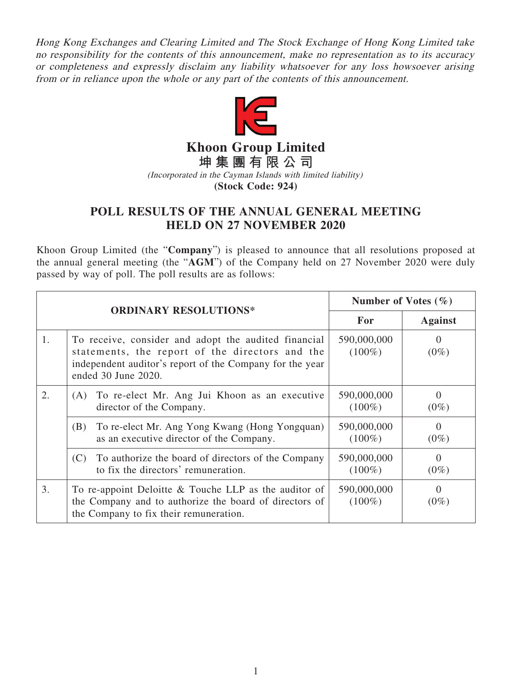Hong Kong Exchanges and Clearing Limited and The Stock Exchange of Hong Kong Limited take no responsibility for the contents of this announcement, make no representation as to its accuracy or completeness and expressly disclaim any liability whatsoever for any loss howsoever arising from or in reliance upon the whole or any part of the contents of this announcement.



**Khoon Group Limited**

**坤集團有限公司** (Incorporated in the Cayman Islands with limited liability)

**(Stock Code: 924)**

## **POLL RESULTS OF THE ANNUAL GENERAL MEETING HELD ON 27 NOVEMBER 2020**

Khoon Group Limited (the "**Company**") is pleased to announce that all resolutions proposed at the annual general meeting (the "**AGM**") of the Company held on 27 November 2020 were duly passed by way of poll. The poll results are as follows:

|    | <b>ORDINARY RESOLUTIONS*</b>                                                                                                                                                               | Number of Votes $(\% )$  |                           |
|----|--------------------------------------------------------------------------------------------------------------------------------------------------------------------------------------------|--------------------------|---------------------------|
|    |                                                                                                                                                                                            | <b>For</b>               | <b>Against</b>            |
| 1. | To receive, consider and adopt the audited financial<br>statements, the report of the directors and the<br>independent auditor's report of the Company for the year<br>ended 30 June 2020. | 590,000,000<br>$(100\%)$ | $\Omega$<br>$(0\%)$       |
| 2. | (A) To re-elect Mr. Ang Jui Khoon as an executive<br>director of the Company.                                                                                                              | 590,000,000<br>$(100\%)$ | $\Omega$<br>$(0\%)$       |
|    | To re-elect Mr. Ang Yong Kwang (Hong Yongquan)<br>(B)<br>as an executive director of the Company.                                                                                          | 590,000,000<br>$(100\%)$ | $\overline{0}$<br>$(0\%)$ |
|    | To authorize the board of directors of the Company<br>(C)<br>to fix the directors' remuneration.                                                                                           | 590,000,000<br>$(100\%)$ | $\Omega$<br>$(0\%)$       |
| 3. | To re-appoint Deloitte $&$ Touche LLP as the auditor of<br>the Company and to authorize the board of directors of<br>the Company to fix their remuneration.                                | 590,000,000<br>$(100\%)$ | $\Omega$<br>$(0\%)$       |